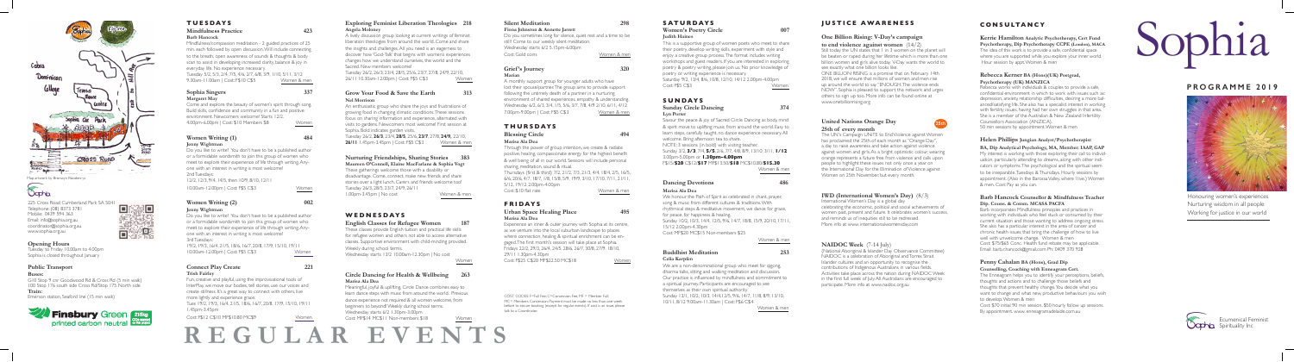225 Cross Road Cumberland Park SA 5041 Telephone: (08) 8373 3781 Mobile: 0439 594 363 Email: info@sophia.org.au coordinator@sophia.org.au www.sophia.org.au

#### **Opening Hours**

Tuesday to Friday 10.00am to 4.00pm Sophia is closed throughout January

#### **Public Transport**

#### **Buses:**

G10 Stop 9 cnr Goodwood Rd & Cross Rd (5 min walk) 100 Stop 176 south side Cross Rd/Stop 175 North side **Train:**

Emerson station, Seaford line (15 min walk)



#### **Exploring Feminist Liberation Theologies 218 Angela Moloney**

Tuesday 26/2, **26/3**, 23/4, **28/5**, 25/6, **23/7**, 27/8, **24/9,** 22/10, **26/11** 1.45pm-3.45pm | Cost: F\$5 C\$3

A lively discussion group looking at current writings of feminist liberation theologies from around the world. Come and share the insights and challenges. All you need is an eagerness to discover how 'God-Talk' that begins with women's experiences changes how we understand ourselves, the world and the Sacred. New members welcome! Tuesday 26/2, 26/3, 23/4, 28/5, 25/6, 23/7, 27/8, 24/9, 22/10,

26/11 10.30am-12.00pm | Cost: F\$5 C\$3 Women

#### **Grow Your Food & Save the Earth 313 Nel Morrison**

An enthusiastic group who share the joys and frustrations of growing food in changing climatic conditions. These sessions focus on sharing information and experience, alternated with visits to gardens. Newcomers most welcome! First session at Sophia. Bold indicates garden visits.

Do you sometimes long for silence, quiet rest and a time to be still? Come to our weekly silent meditation. Wednesday starts 6/2 5.15pm-6.00pm Cost: Gold coins **Women & men** 

#### Grief's Journey 320 **Marian**

#### **Nurturing Friendships, Sharing Stories 383**

**Maureen O'Connell, Elaine MacFarlane & Sophia Vogt** These gatherings welcome those with a disability or disadvantage. Come, connect, make new friends and share stories over a light lunch. Carers and friends welcome too! Tuesday 26/3, 28/5, 23/7, 24/9, 26/11 1.00pm-3.45pm | No cost Women & men

### **WEDNESDAYS**

**English Classes for Refugee Women 187**

These classes provide English tuition and practical life skills for refugee women and others not able to access alternative classes. Supportive environment with child-minding provided.

## **SATURDAYS Women's Poetry Circle 007**

Weekly during school terms. Wednesday starts 13/2 10.00am-12.30pm | No cost

Women

#### **Circle Dancing for Health & Wellbeing 263 Marisa Ala Dea**

Meaningful, joyful & uplifting, Circle Dance combines easy to learn dance steps with music from around the world. Previous dance experience not required & all women welcome, from beginners to beyond! Weekly during school terms. Wednesday starts 6/2 1.30pm-3.00pm Cost: MF\$14 MC\$11 Non-members \$18 Women

## **Silent Meditation 298**

#### **Fiona Johnston & Annette Jarrett**

A monthly support group for younger adults who have lost their spouse/partner. The group aims to provide support following the untimely death of a partner in a nurturing environment of shared experiences, empathy & understanding. Wednesday 6/2, 6/3, 3/4, 1/5, 5/6, 3/7, 7/8, 4/9 2/10, 6/11, 4/12 7.00pm-9.00pm | Cost: F\$5 C\$3 Women & men

#### **THURSDAYS**

#### **Blessing Circle** 494

Still today the UN states that 1 in 3 women on the planet will be beaten or raped during her lifetime which is more than one billion women and girls alive today. V-Day wants the world to see exactly what one billion looks like.

#### **Marisa Ala Dea**

Through the power of group intention, we create & radiate positive, healing, compassionate energy for the highest benefit & well being of all in our world. Sessions will include personal sharing, meditation, sound & ritual.

Thursdays (first & third) 7/2, 21/2, 7/3, 21/3, 4/4, 18/4, 2/5, 16/5, 6/6, 20/6, 4/7, 18/7, 1/8, 15/8, 5/9, 19/9, 3/10, 17/10, 7/11, 21/11, 5/12, 19/12 2.00pm-4.00pm

Cost: \$10 flat rate Women & men

#### **FRIDAYS**

#### **Urban Space Healing Place 495 Marisa Ala Dea**

International Women's Day is a global day celebrating the economic, political and social achievements of women past, present and future. It celebrates women's success, and reminds us of inequities still to be redressed. More info at www. internationalwomensday.com

Experience an inner & outer journey with Sophia at its centre, as we venture into the local suburban landscape to places where connection, healing & spiritual enrichment can be engaged. The first month's session will take place at Sophia. Fridays 22/2, 29/3, 26/4, 24/5, 28/6, 26/7, 30/8, 27/9. 18/10, 29/11 1.30pm-4.30pm Cost: F\$25 C\$20 MF\$22.50 MC\$18 Women

#### **Judith Haines**

This is a supportive group of women poets who meet to share their poetry, develop writing skills, experiment with style and enjoy a creative group process. The format includes writing workshops and guest readers. If you are interested in exploring poetry & poetry writing, please join us. No prior knowledge of poetry or writing experience is necessary. Saturday 9/2, 13/4, 8/6, 10/8, 12/10, 14/12 2.00pm-4.00pm Cost: F\$5 C\$3 Women

#### **SUNDAYS**

#### **Sunday Circle Dancing 374 Lyn Porter**

Savour the peace & joy of Sacred Circle Dancing as body, mind & spirit move to uplifting music from around the world. Easy to learn steps, carefully taught, no dance experience necessary. All welcome. Bring afternoon tea to share.

NOTE: 3 sessions (in bold) with visiting teacher. Sunday 3/2, **3/3**, 7/4, **5/5**, 2/6, 7/7, 4/8, 8/9, 13/10, 3/11, **1/12** 3.00pm-5.00pm or **1.30pm-4.00pm** F\$15/**\$20** C\$12/**\$17** MF\$13.50/**\$18** MC\$10.80/**\$15.30**

Women & men

#### **Dancing Devotions 486**

#### **Marisa Ala Dea**

We honour the Path of Spirit as celebrated in chant, prayer, song & music from different cultures & traditions. With rhythmical steps & meditative movement, we dance for grace, for peace, for happiness & healing. Sunday 10/2, 10/3, 14/4, 12/5, 9/6, 14/7, 18/8, 15/9, 20/10, 17/11, 15/12 2.00pm-4.30pm

Come and explore the beauty of women's spirit through song. Build skills, confidence and community in a fun and positive environment. Newcomers welcome! Starts 12/2. 4.00pm-6.00pm | Cost: \$10 Members \$8 Women

Cost: MF\$20 MC\$15 Non-members \$25

Women & men

#### **Buddhist Meditation 253 Celia Karpfen**

We are a non-denominational group who meet for qigong,

#### **Women Writing (2)** 002 **Jenny Wightman**

dharma talks, sitting and walking meditation and discussion. Our practice is influenced by mindfulness and commitment to a spiritual journey. Participants are encouraged to see themselves as their own spiritual authority. Sunday 13/1, 10/2, 10/3, 14/4,12/5, 9/6, 14/7, 11/8, 8/9, 13/10, 10/11, 8/12 9.00am-11.30am | Cost: F\$6 C\$4

Women & men

## **JUSTICE AWARENESS**

#### **One Billion Rising: V-Day's campaign to end violence against women** (14/2)

ONE BILLION RISING is a promise that on February 14th 2018, we will ensure that millions of women and men rise up around the world to say "ENOUGH. The violence ends NOW". Sophia is pleased to support this network and urges others to sign up too. More info can be found online at www.onebillionrising.org

#### **United Nations Orange Day 25th of every month**

The UN's Campaign UNiTE to End Violence against Women has proclaimed the 25th of each month as "Orange Day", a day to raise awareness and take action against violence against women and girls. As a bright optimistic colour, wearing orange represents a future free from violence and calls upon people to highlight these issues not only once a year on the International Day for the Elimination of Violence against Women on 25th November, but every month.

#### **IWD (International Women's Day)** (8/3)

#### **NAIDOC Week** (7-14 July)

(National Aboriginal & Islander Day Observance Committee) NAIDOC is a celebration of Aboriginal and Torres Strait Islander cultures and an opportunity to recognise the contributions of Indigenous Australians in various fields. Activities take place across the nation during NAIDOC Week in the first full week of July. All Australians are encouraged to participate. More info at www.naidoc.org.au

## **CONSULTANCY**

#### **Kerrie Hamilton Analytic Psychotherapy, Cert Fund Psychotherapy, Dip Psychotherapy CCPE (London), MACA**

The idea of this work is to provide a safe, confidential space where you are supported while you explore your inner world.

Hour session by appt. Women & men

#### **Rebecca Kerner BA (Hons)(UK) Postgrad, Psychotherapy (UK) MANZICA**

Rebecca works with individuals & couples to provide a safe, confidential environment in which to work with issues such as: depression, anxiety, relationship difficulties, desiring a more balanced/satisfying life. She also has a specialist interest in working with fertility issues, having had her own struggles in that area. She is a member of the Australian & New Zealand Infertility Counsellors Association (ANZICA). 50 min sessions by appointment. Women & men

#### **Helen Phillips Jungian Analyst/Psychotherapist**

**BA, Dip Analytical Psychology, MA, Member: IAAP, GAP** My interest is working with those exploring their call to individuation, particularly attending to dreams, along with other indicators or symptoms. The psychological and the spiritual seem to be inseparable. Tuesdays & Thursdays. Hourly sessions by appointment. (Also in the Barossa Valley, where I live.) Women & men. Cost: Pay as you can.

#### **Barb Hancock Counsellor & Mindfulness Teacher Dip. Couns. & Comm. MCASA PACFA**

Barb incorporates Mindfulness principles and practices in working with individuals who feel stuck or consumed by their current situation and those wanting to address ongoing stress. She also has a particular interest in the area of cancer and chronic health issues that bring the challenge of how to live well with unwelcome change. Women & men Cost: \$75/\$65 Conc. Health fund rebate may be applicable. Email: barb.r.hancock@gmail.com Ph: 0409 370 928

#### **Penny Cahalan BA (Hons), Grad Dip Counselling, Coaching with Enneagram Cert.**

The Enneagram helps you to identify your perceptions, beliefs, thoughts and actions and to challenge those beliefs and thoughts that prevent healthy change. You decide what you want to change and what new, productive behaviours you wish to develop. Women & men Cost: \$70 initial 90 min session, \$50 hourly follow up sessions. By appointment. www. enneagramadelaide.com.au

## **TUESDAYS Mindfulness Practice 423**

#### **Barb Hancock**

Mindfulness/compassion meditation - 2 guided practices of 25 min. each followed by open discussion. Will include connecting to the breath, open awareness of sounds & thoughts & body scan to assist in developing increased clarity, balance & joy in everyday life. No experience necessary. Tuesday 5/2, 5/3, 2/4, 7/5, 4/6, 2/7, 6/8, 3/9, 1/10, 5/11, 3/12 9.30am-11.00am | Cost: F\$10 C\$5 Women & men

#### **Sophia Singers 337 Margaret May**

#### **Women Writing (1) 484 Jenny Wightman**

Do you like to write? You don't have to be a published author or a formidable wordsmith to join this group of women who meet to explore their experience of life through writing. Anyone with an interest in writing is most welcome! 2nd Tuesdays: 12/2, 12/3, 9/4, 14/5, then 10/9, 8/10, 12/11

| 10.00am-12.00pm   Cost: F\$5 C\$3 | Women |
|-----------------------------------|-------|
|                                   |       |

Do you like to write? You don't have to be a published author or a formidable wordsmith to join this group of women who meet to explore their experience of life through writing. Anyone with an interest in writing is most welcome! 3rd Tuesdays: 19/2, 19/3, 16/4, 21/5, 18/6, 16/7, 20/8, 17/9, 15/10, 19/11

10.00am-12.00pm | Cost: F\$5 C\$3 Women

#### **Connect Play Create 221 Trish Fairley**

Fun, creative and playful, using the improvisational tools of InterPlay, we move our bodies, tell stories, use our voices and create stillness. It's a great way to connect with others, live more lightly and experience grace.

Tues 19/2, 19/3, 16/4, 21/5, 18/6, 16/7, 20/8, 17/9, 15/10, 19/11 1.45pm-3.45pm

Cost: F\$12 C\$10 MF\$10.80 MC\$9 Women

**REGULAR EVENTS**

 $\Box$ 5833 彩白毛 同議

## **PROGRAMME 2019**



# Sophia

Honouring women's experiences Nurturing wisdom in all people Working for justice in our world

<u> 1989 - Johann Stoff, amerikansk politiker (d. 1989)</u>



Ecumenical Feminist Spirituality Inc

COST CODES: F=Full Fee; C=Concession Fee, MF = Member Full; MC= Members Concession; Payment must be made no less than one week before to secure booking (except for regular events). If cost is an issue, please talk to a Coordinator.

**25th**



Map artwork by Bronwyn Roodenrys